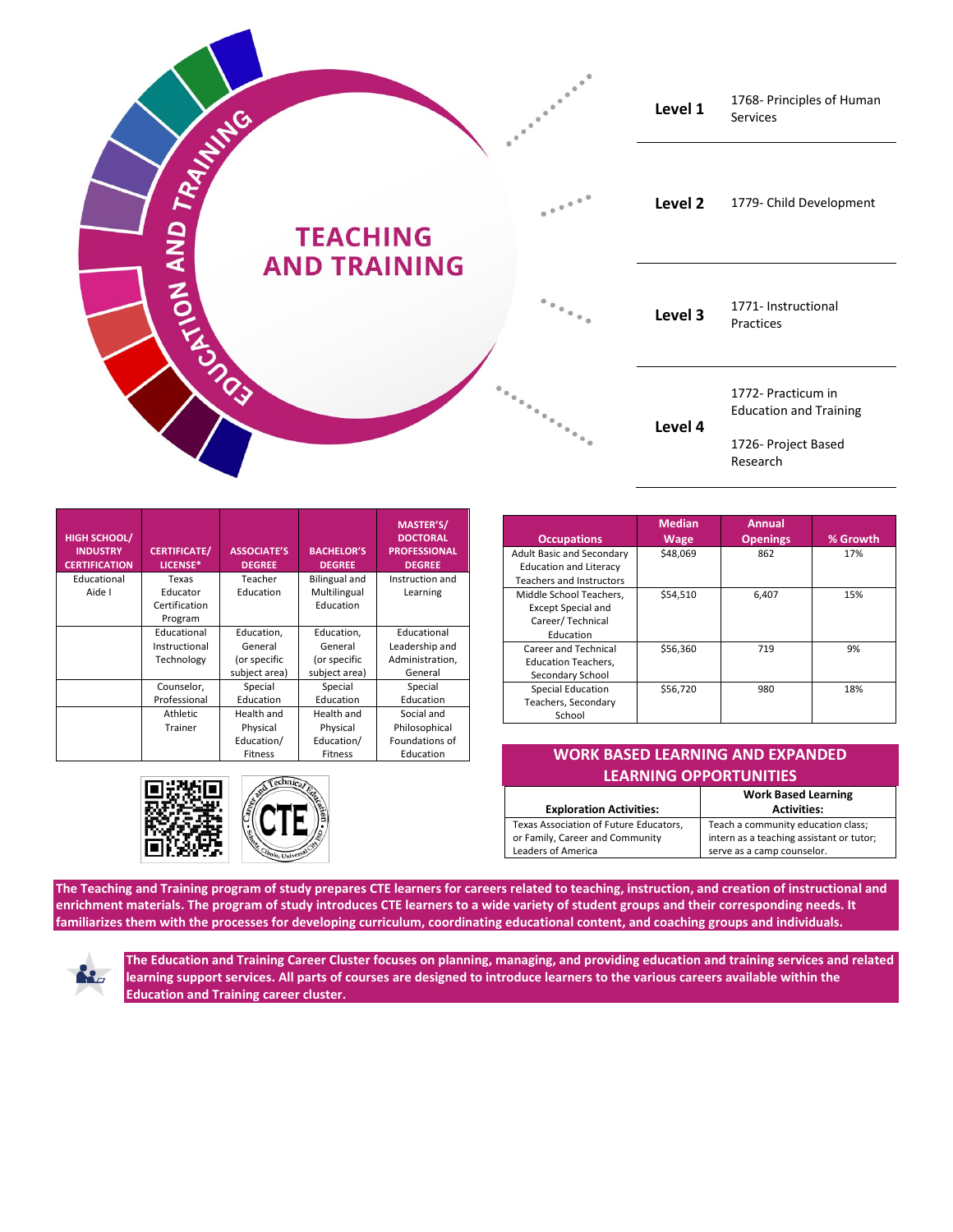

| <b>HIGH SCHOOL/</b><br><b>INDUSTRY</b><br><b>CERTIFICATION</b> | <b>CERTIFICATE/</b><br>LICENSE* | <b>ASSOCIATE'S</b><br><b>DEGREE</b> | <b>BACHELOR'S</b><br><b>DEGREE</b> | <b>MASTER'S/</b><br><b>DOCTORAL</b><br><b>PROFESSIONAL</b><br><b>DEGREE</b> |
|----------------------------------------------------------------|---------------------------------|-------------------------------------|------------------------------------|-----------------------------------------------------------------------------|
| Educational                                                    | Texas                           | Teacher                             | <b>Bilingual and</b>               | Instruction and                                                             |
| Aide I                                                         | Educator                        | Education                           | Multilingual                       | Learning                                                                    |
|                                                                | Certification                   |                                     | Education                          |                                                                             |
|                                                                | Program                         |                                     |                                    |                                                                             |
|                                                                | Educational                     | Education,                          | Education,                         | Educational                                                                 |
|                                                                | Instructional                   | General                             | General                            | Leadership and                                                              |
|                                                                | Technology                      | (or specific                        | (or specific                       | Administration,                                                             |
|                                                                |                                 | subject area)                       | subject area)                      | General                                                                     |
|                                                                | Counselor,                      | Special                             | Special                            | Special                                                                     |
|                                                                | Professional                    | Education                           | Education                          | Education                                                                   |
|                                                                | Athletic                        | Health and                          | Health and                         | Social and                                                                  |
|                                                                | Trainer                         | Physical                            | Physical                           | Philosophical                                                               |
|                                                                |                                 | Education/                          | Education/                         | Foundations of                                                              |
|                                                                |                                 | <b>Fitness</b>                      | <b>Fitness</b>                     | Education                                                                   |



| <b>Occupations</b>                                                                                   | <b>Median</b><br><b>Wage</b> | Annual<br><b>Openings</b> | % Growth |
|------------------------------------------------------------------------------------------------------|------------------------------|---------------------------|----------|
| <b>Adult Basic and Secondary</b><br><b>Education and Literacy</b><br><b>Teachers and Instructors</b> | \$48,069                     | 862                       | 17%      |
| Middle School Teachers,<br><b>Except Special and</b><br>Career/Technical<br>Education                | \$54,510                     | 6.407                     | 15%      |
| Career and Technical<br><b>Education Teachers,</b><br>Secondary School                               | \$56.360                     | 719                       | 9%       |
| <b>Special Education</b><br>Teachers, Secondary<br>School                                            | \$56,720                     | 980                       | 18%      |

| Education | <b>WORK BASED LEARNING AND EXPANDED</b>  |                                                                                                                                                                                                                               |  |  |  |
|-----------|------------------------------------------|-------------------------------------------------------------------------------------------------------------------------------------------------------------------------------------------------------------------------------|--|--|--|
|           | <b>LEARNING OPPORTUNITIES</b>            |                                                                                                                                                                                                                               |  |  |  |
|           |                                          | <b>Work Based Learning</b>                                                                                                                                                                                                    |  |  |  |
|           | <b>Exploration Activities:</b>           | <b>Activities:</b>                                                                                                                                                                                                            |  |  |  |
|           | Torres Association of Frances Februaries | The product of the contract of the conditions of the product of the second second second second second second second second second second second second second second second second second second second second second second |  |  |  |

| <b>LADIOIULIOII ACLIVILICS.</b>        | <b>ALUVILLJ.</b>                         |
|----------------------------------------|------------------------------------------|
| Texas Association of Future Educators, | Teach a community education class;       |
| or Family, Career and Community        | intern as a teaching assistant or tutor; |
| Leaders of America                     | serve as a camp counselor.               |
|                                        |                                          |

**The Teaching and Training program of study prepares CTE learners for careers related to teaching, instruction, and creation of instructional and enrichment materials. The program of study introduces CTE learners to a wide variety of student groups and their corresponding needs. It familiarizes them with the processes for developing curriculum, coordinating educational content, and coaching groups and individuals.**



**The Education and Training Career Cluster focuses on planning, managing, and providing education and training services and related learning support services. All parts of courses are designed to introduce learners to the various careers available within the Education and Training career cluster.**